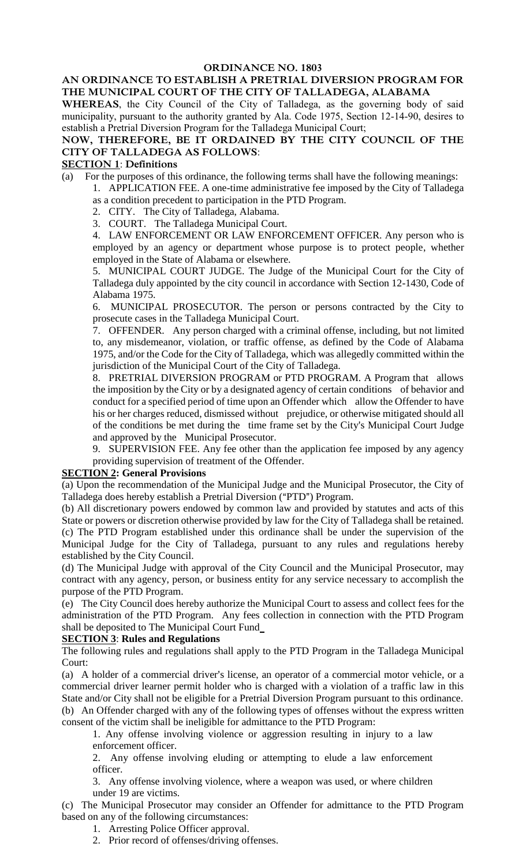### **AN ORDINANCE TO ESTABLISH A PRETRIAL DIVERSION PROGRAM FOR THE MUNICIPAL COURT OF THE CITY OF TALLADEGA, ALABAMA**

**WHEREAS**, the City Council of the City of Talladega, as the governing body of said municipality, pursuant to the authority granted by Ala. Code 1975, Section 12-14-90, desires to establish a Pretrial Diversion Program for the Talladega Municipal Court;

## **NOW, THEREFORE, BE IT ORDAINED BY THE CITY COUNCIL OF THE CITY OF TALLADEGA AS FOLLOWS**:

#### **SECTION 1**: **Definitions**

(a) For the purposes of this ordinance, the following terms shall have the following meanings:

- 1. APPLICATION FEE. A one-time administrative fee imposed by the City of Talladega as a condition precedent to participation in the PTD Program.
	- 2. CITY. The City of Talladega, Alabama.
	- 3. COURT. The Talladega Municipal Court.

4. LAW ENFORCEMENT OR LAW ENFORCEMENT OFFICER. Any person who is employed by an agency or department whose purpose is to protect people, whether employed in the State of Alabama or elsewhere.

5. MUNICIPAL COURT JUDGE. The Judge of the Municipal Court for the City of Talladega duly appointed by the city council in accordance with Section 12-1430, Code of Alabama 1975.

6. MUNICIPAL PROSECUTOR. The person or persons contracted by the City to prosecute cases in the Talladega Municipal Court.

7. OFFENDER. Any person charged with a criminal offense, including, but not limited to, any misdemeanor, violation, or traffic offense, as defined by the Code of Alabama 1975, and/or the Code for the City of Talladega, which was allegedly committed within the jurisdiction of the Municipal Court of the City of Talladega.

8. PRETRIAL DIVERSION PROGRAM or PTD PROGRAM. A Program that allows the imposition by the City or by a designated agency of certain conditions of behavior and conduct for a specified period of time upon an Offender which allow the Offender to have his or her charges reduced, dismissed without prejudice, or otherwise mitigated should all of the conditions be met during the time frame set by the City's Municipal Court Judge and approved by the Municipal Prosecutor.

9. SUPERVISION FEE. Any fee other than the application fee imposed by any agency providing supervision of treatment of the Offender.

### **SECTION 2: General Provisions**

(a) Upon the recommendation of the Municipal Judge and the Municipal Prosecutor, the City of Talladega does hereby establish a Pretrial Diversion ("PTD") Program.

(b) All discretionary powers endowed by common law and provided by statutes and acts of this State or powers or discretion otherwise provided by law for the City of Talladega shall be retained. (c) The PTD Program established under this ordinance shall be under the supervision of the Municipal Judge for the City of Talladega, pursuant to any rules and regulations hereby established by the City Council.

(d) The Municipal Judge with approval of the City Council and the Municipal Prosecutor, may contract with any agency, person, or business entity for any service necessary to accomplish the purpose of the PTD Program.

(e) The City Council does hereby authorize the Municipal Court to assess and collect fees for the administration of the PTD Program. Any fees collection in connection with the PTD Program shall be deposited to The Municipal Court Fund

### **SECTION 3**: **Rules and Regulations**

The following rules and regulations shall apply to the PTD Program in the Talladega Municipal Court:

(a) A holder of a commercial driver's license, an operator of a commercial motor vehicle, or a commercial driver learner permit holder who is charged with a violation of a traffic law in this State and/or City shall not be eligible for a Pretrial Diversion Program pursuant to this ordinance. (b) An Offender charged with any of the following types of offenses without the express written consent of the victim shall be ineligible for admittance to the PTD Program:

1. Any offense involving violence or aggression resulting in injury to a law enforcement officer.

2. Any offense involving eluding or attempting to elude a law enforcement officer.

3. Any offense involving violence, where a weapon was used, or where children under 19 are victims.

(c) The Municipal Prosecutor may consider an Offender for admittance to the PTD Program based on any of the following circumstances:

- 1. Arresting Police Officer approval.
- 2. Prior record of offenses/driving offenses.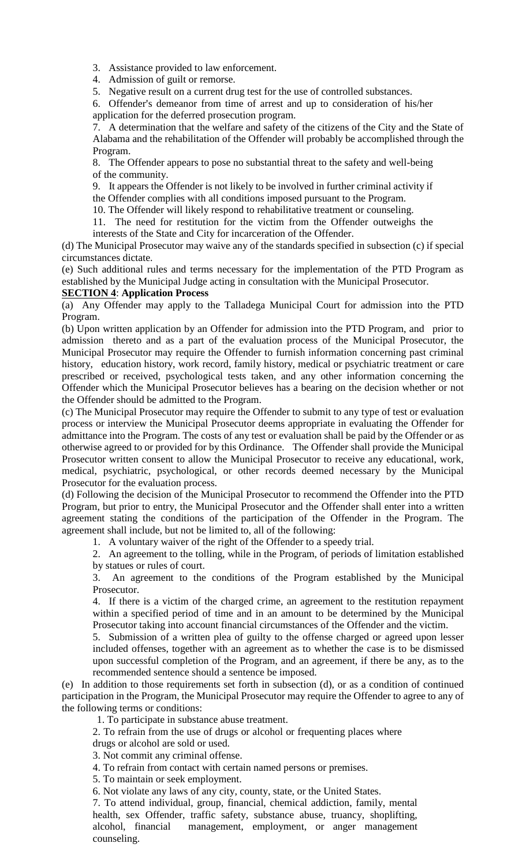3. Assistance provided to law enforcement.

4. Admission of guilt or remorse.

5. Negative result on a current drug test for the use of controlled substances.

6. Offender's demeanor from time of arrest and up to consideration of his/her application for the deferred prosecution program.

7. A determination that the welfare and safety of the citizens of the City and the State of Alabama and the rehabilitation of the Offender will probably be accomplished through the Program.

8. The Offender appears to pose no substantial threat to the safety and well-being of the community.

9. It appears the Offender is not likely to be involved in further criminal activity if

the Offender complies with all conditions imposed pursuant to the Program.

10. The Offender will likely respond to rehabilitative treatment or counseling.

11. The need for restitution for the victim from the Offender outweighs the interests of the State and City for incarceration of the Offender.

(d) The Municipal Prosecutor may waive any of the standards specified in subsection (c) if special circumstances dictate.

(e) Such additional rules and terms necessary for the implementation of the PTD Program as established by the Municipal Judge acting in consultation with the Municipal Prosecutor.

### **SECTION 4**: **Application Process**

(a) Any Offender may apply to the Talladega Municipal Court for admission into the PTD Program.

(b) Upon written application by an Offender for admission into the PTD Program, and prior to admission thereto and as a part of the evaluation process of the Municipal Prosecutor, the Municipal Prosecutor may require the Offender to furnish information concerning past criminal history, education history, work record, family history, medical or psychiatric treatment or care prescribed or received, psychological tests taken, and any other information concerning the Offender which the Municipal Prosecutor believes has a bearing on the decision whether or not the Offender should be admitted to the Program.

(c) The Municipal Prosecutor may require the Offender to submit to any type of test or evaluation process or interview the Municipal Prosecutor deems appropriate in evaluating the Offender for admittance into the Program. The costs of any test or evaluation shall be paid by the Offender or as otherwise agreed to or provided for by this Ordinance. The Offender shall provide the Municipal Prosecutor written consent to allow the Municipal Prosecutor to receive any educational, work, medical, psychiatric, psychological, or other records deemed necessary by the Municipal Prosecutor for the evaluation process.

(d) Following the decision of the Municipal Prosecutor to recommend the Offender into the PTD Program, but prior to entry, the Municipal Prosecutor and the Offender shall enter into a written agreement stating the conditions of the participation of the Offender in the Program. The agreement shall include, but not be limited to, all of the following:

1. A voluntary waiver of the right of the Offender to a speedy trial.

2. An agreement to the tolling, while in the Program, of periods of limitation established by statues or rules of court.

3. An agreement to the conditions of the Program established by the Municipal Prosecutor.

4. If there is a victim of the charged crime, an agreement to the restitution repayment within a specified period of time and in an amount to be determined by the Municipal Prosecutor taking into account financial circumstances of the Offender and the victim.

5. Submission of a written plea of guilty to the offense charged or agreed upon lesser included offenses, together with an agreement as to whether the case is to be dismissed upon successful completion of the Program, and an agreement, if there be any, as to the recommended sentence should a sentence be imposed.

(e) In addition to those requirements set forth in subsection (d), or as a condition of continued participation in the Program, the Municipal Prosecutor may require the Offender to agree to any of the following terms or conditions:

1. To participate in substance abuse treatment.

2. To refrain from the use of drugs or alcohol or frequenting places where

drugs or alcohol are sold or used.

3. Not commit any criminal offense.

4. To refrain from contact with certain named persons or premises.

5. To maintain or seek employment.

6. Not violate any laws of any city, county, state, or the United States.

7. To attend individual, group, financial, chemical addiction, family, mental health, sex Offender, traffic safety, substance abuse, truancy, shoplifting, alcohol, financial management, employment, or anger management counseling.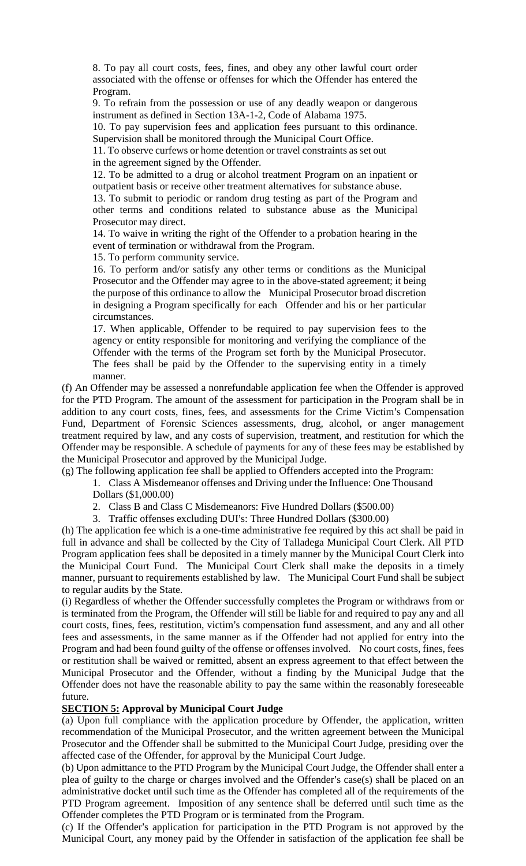8. To pay all court costs, fees, fines, and obey any other lawful court order associated with the offense or offenses for which the Offender has entered the Program.

9. To refrain from the possession or use of any deadly weapon or dangerous instrument as defined in Section 13A-1-2, Code of Alabama 1975.

10. To pay supervision fees and application fees pursuant to this ordinance. Supervision shall be monitored through the Municipal Court Office.

11. To observe curfews or home detention or travel constraints as set out in the agreement signed by the Offender.

12. To be admitted to a drug or alcohol treatment Program on an inpatient or outpatient basis or receive other treatment alternatives for substance abuse.

13. To submit to periodic or random drug testing as part of the Program and other terms and conditions related to substance abuse as the Municipal Prosecutor may direct.

14. To waive in writing the right of the Offender to a probation hearing in the event of termination or withdrawal from the Program.

15. To perform community service.

16. To perform and/or satisfy any other terms or conditions as the Municipal Prosecutor and the Offender may agree to in the above-stated agreement; it being the purpose of this ordinance to allow the Municipal Prosecutor broad discretion in designing a Program specifically for each Offender and his or her particular circumstances.

17. When applicable, Offender to be required to pay supervision fees to the agency or entity responsible for monitoring and verifying the compliance of the Offender with the terms of the Program set forth by the Municipal Prosecutor. The fees shall be paid by the Offender to the supervising entity in a timely manner.

(f) An Offender may be assessed a nonrefundable application fee when the Offender is approved for the PTD Program. The amount of the assessment for participation in the Program shall be in addition to any court costs, fines, fees, and assessments for the Crime Victim's Compensation Fund, Department of Forensic Sciences assessments, drug, alcohol, or anger management treatment required by law, and any costs of supervision, treatment, and restitution for which the Offender may be responsible. A schedule of payments for any of these fees may be established by the Municipal Prosecutor and approved by the Municipal Judge.

(g) The following application fee shall be applied to Offenders accepted into the Program:

1. Class A Misdemeanor offenses and Driving under the Influence: One Thousand Dollars (\$1,000.00)

2. Class B and Class C Misdemeanors: Five Hundred Dollars (\$500.00)

3. Traffic offenses excluding DUI's: Three Hundred Dollars (\$300.00)

(h) The application fee which is a one-time administrative fee required by this act shall be paid in full in advance and shall be collected by the City of Talladega Municipal Court Clerk. All PTD Program application fees shall be deposited in a timely manner by the Municipal Court Clerk into the Municipal Court Fund. The Municipal Court Clerk shall make the deposits in a timely manner, pursuant to requirements established by law. The Municipal Court Fund shall be subject to regular audits by the State.

(i) Regardless of whether the Offender successfully completes the Program or withdraws from or is terminated from the Program, the Offender will still be liable for and required to pay any and all court costs, fines, fees, restitution, victim's compensation fund assessment, and any and all other fees and assessments, in the same manner as if the Offender had not applied for entry into the Program and had been found guilty of the offense or offenses involved. No court costs, fines, fees or restitution shall be waived or remitted, absent an express agreement to that effect between the Municipal Prosecutor and the Offender, without a finding by the Municipal Judge that the Offender does not have the reasonable ability to pay the same within the reasonably foreseeable future.

### **SECTION 5: Approval by Municipal Court Judge**

(a) Upon full compliance with the application procedure by Offender, the application, written recommendation of the Municipal Prosecutor, and the written agreement between the Municipal Prosecutor and the Offender shall be submitted to the Municipal Court Judge, presiding over the affected case of the Offender, for approval by the Municipal Court Judge.

(b) Upon admittance to the PTD Program by the Municipal Court Judge, the Offender shall enter a plea of guilty to the charge or charges involved and the Offender's case(s) shall be placed on an administrative docket until such time as the Offender has completed all of the requirements of the PTD Program agreement. Imposition of any sentence shall be deferred until such time as the Offender completes the PTD Program or is terminated from the Program.

(c) If the Offender's application for participation in the PTD Program is not approved by the Municipal Court, any money paid by the Offender in satisfaction of the application fee shall be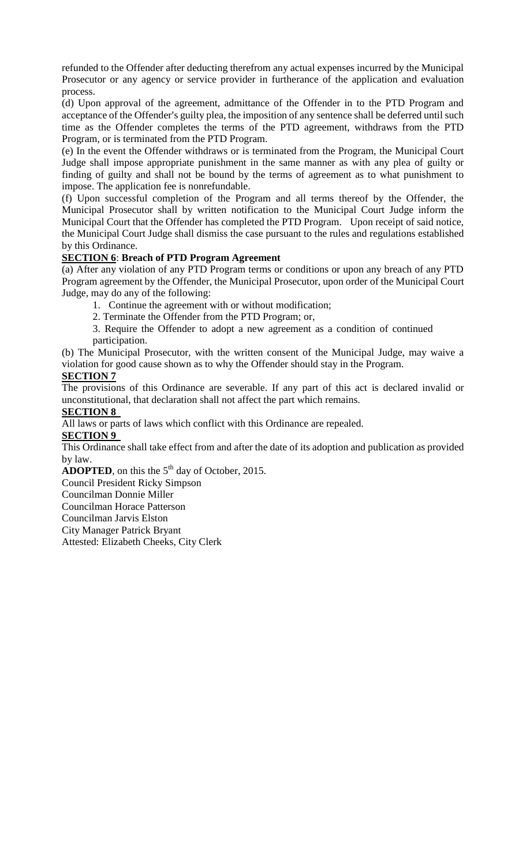refunded to the Offender after deducting therefrom any actual expenses incurred by the Municipal Prosecutor or any agency or service provider in furtherance of the application and evaluation process.

(d) Upon approval of the agreement, admittance of the Offender in to the PTD Program and acceptance of the Offender's guilty plea, the imposition of any sentence shall be deferred until such time as the Offender completes the terms of the PTD agreement, withdraws from the PTD Program, or is terminated from the PTD Program.

(e) In the event the Offender withdraws or is terminated from the Program, the Municipal Court Judge shall impose appropriate punishment in the same manner as with any plea of guilty or finding of guilty and shall not be bound by the terms of agreement as to what punishment to impose. The application fee is nonrefundable.

(f) Upon successful completion of the Program and all terms thereof by the Offender, the Municipal Prosecutor shall by written notification to the Municipal Court Judge inform the Municipal Court that the Offender has completed the PTD Program. Upon receipt of said notice, the Municipal Court Judge shall dismiss the case pursuant to the rules and regulations established by this Ordinance.

## **SECTION 6**: **Breach of PTD Program Agreement**

(a) After any violation of any PTD Program terms or conditions or upon any breach of any PTD Program agreement by the Offender, the Municipal Prosecutor, upon order of the Municipal Court Judge, may do any of the following:

1. Continue the agreement with or without modification;

2. Terminate the Offender from the PTD Program; or,

3. Require the Offender to adopt a new agreement as a condition of continued participation.

(b) The Municipal Prosecutor, with the written consent of the Municipal Judge, may waive a violation for good cause shown as to why the Offender should stay in the Program.

# **SECTION 7**

The provisions of this Ordinance are severable. If any part of this act is declared invalid or unconstitutional, that declaration shall not affect the part which remains.

### **SECTION 8**

All laws or parts of laws which conflict with this Ordinance are repealed.

## **SECTION 9**

This Ordinance shall take effect from and after the date of its adoption and publication as provided by law.

**ADOPTED**, on this the  $5<sup>th</sup>$  day of October, 2015.

Council President Ricky Simpson

Councilman Donnie Miller

Councilman Horace Patterson

Councilman Jarvis Elston

City Manager Patrick Bryant

Attested: Elizabeth Cheeks, City Clerk